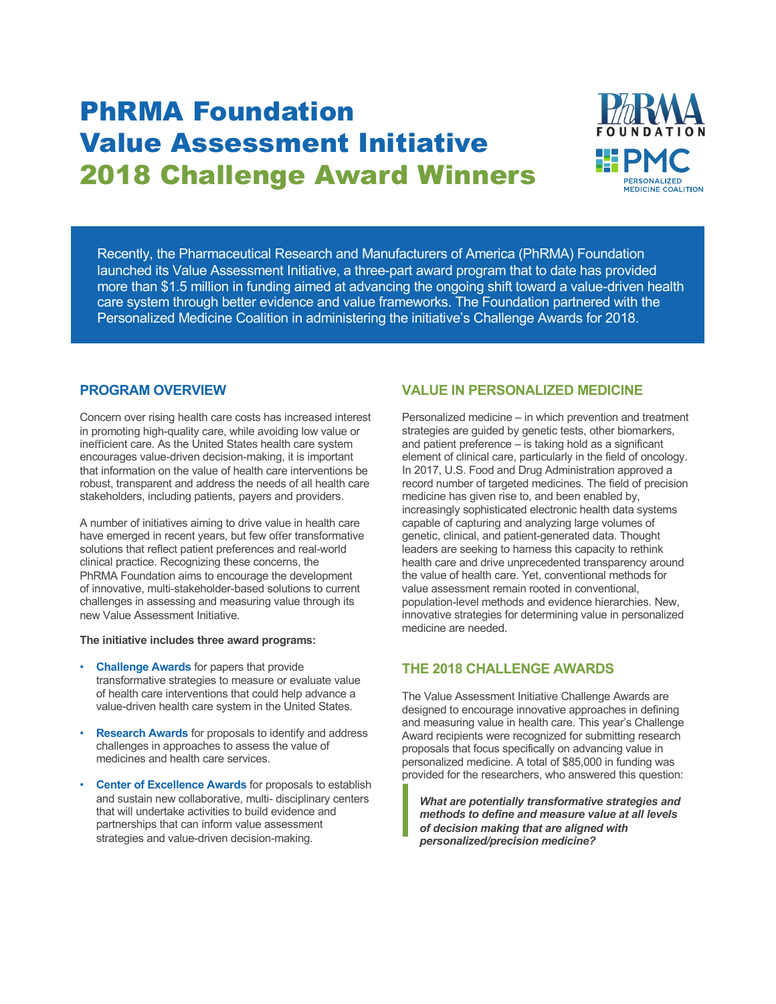# PhRMA Foundation Value Assessment Initiative 2018 Challenge Award Winners



Recently, the Pharmaceutical Research and Manufacturers of America (PhRMA) Foundation launched its Value Assessment Initiative, a three-part award program that to date has provided more than \$1.5 million in funding aimed at advancing the ongoing shift toward a value-driven health care system through better evidence and value frameworks. The Foundation partnered with the Personalized Medicine Coalition in administering the initiative's Challenge Awards for 2018.

### **PROGRAM OVERVIEW**

Concern over rising health care costs has increased interest in promoting high-quality care, while avoiding low value or inefficient care. As the United States health care system encourages value-driven decision-making, it is important that information on the value of health care interventions be robust, transparent and address the needs of all health care stakeholders, including patients, payers and providers.

A number of initiatives aiming to drive value in health care have emerged in recent years, but few offer transformative solutions that reflect patient preferences and real-world clinical practice. Recognizing these concerns, the PhRMA Foundation aims to encourage the development of innovative, multi-stakeholder-based solutions to current challenges in assessing and measuring value through its new Value Assessment Initiative.

#### **The initiative includes three award programs:**

- **Challenge Awards** for papers that provide transformative strategies to measure or evaluate value of health care interventions that could help advance a value-driven health care system in the United States.
- **Research Awards** for proposals to identify and address challenges in approaches to assess the value of medicines and health care services.
- **Center of Excellence Awards** for proposals to establish and sustain new collaborative, multi- disciplinary centers that will undertake activities to build evidence and partnerships that can inform value assessment strategies and value-driven decision-making.

## **VALUE IN PERSONALIZED MEDICINE**

Personalized medicine – in which prevention and treatment strategies are guided by genetic tests, other biomarkers, and patient preference – is taking hold as a significant element of clinical care, particularly in the field of oncology. In 2017, U.S. Food and Drug Administration approved a record number of targeted medicines. The field of precision medicine has given rise to, and been enabled by, increasingly sophisticated electronic health data systems capable of capturing and analyzing large volumes of genetic, clinical, and patient-generated data. Thought leaders are seeking to harness this capacity to rethink health care and drive unprecedented transparency around the value of health care. Yet, conventional methods for value assessment remain rooted in conventional, population-level methods and evidence hierarchies. New, innovative strategies for determining value in personalized medicine are needed.

### **THE 2018 CHALLENGE AWARDS**

The Value Assessment Initiative Challenge Awards are designed to encourage innovative approaches in defining and measuring value in health care. This year's Challenge Award recipients were recognized for submitting research proposals that focus specifically on advancing value in personalized medicine. A total of \$85,000 in funding was provided for the researchers, who answered this question:

*What are potentially transformative strategies and methods to define and measure value at all levels of decision making that are aligned with personalized/precision medicine?*